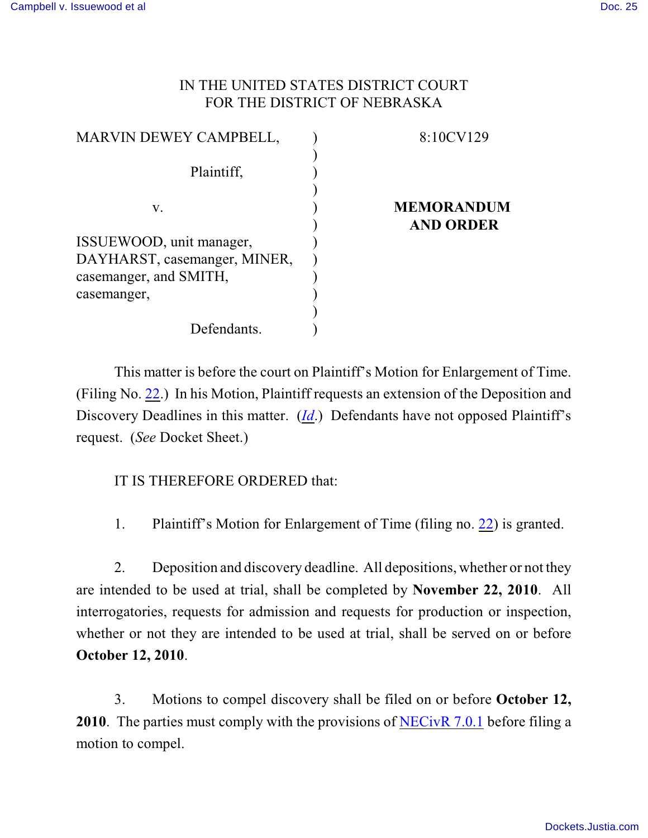## IN THE UNITED STATES DISTRICT COURT FOR THE DISTRICT OF NEBRASKA

| MARVIN DEWEY CAMPBELL,                                 | 8:10CV129                             |
|--------------------------------------------------------|---------------------------------------|
| Plaintiff,                                             |                                       |
| V.                                                     | <b>MEMORANDUM</b><br><b>AND ORDER</b> |
| ISSUEWOOD, unit manager,                               |                                       |
| DAYHARST, casemanger, MINER,<br>casemanger, and SMITH, |                                       |
| casemanger,                                            |                                       |
| Defendants.                                            |                                       |

This matter is before the court on Plaintiff's Motion for Enlargement of Time. (Filing No. [22](https://ecf.ned.uscourts.gov/doc1/11312079741).) In his Motion, Plaintiff requests an extension of the Deposition and Discovery Deadlines in this matter. (*[Id](https://ecf.ned.uscourts.gov/doc1/11312079741).*) Defendants have not opposed Plaintiff's request. (*See* Docket Sheet.)

IT IS THEREFORE ORDERED that:

1. Plaintiff's Motion for Enlargement of Time (filing no. [22](https://ecf.ned.uscourts.gov/doc1/11312079741)) is granted.

2. Deposition and discovery deadline. All depositions, whether or not they are intended to be used at trial, shall be completed by **November 22, 2010**. All interrogatories, requests for admission and requests for production or inspection, whether or not they are intended to be used at trial, shall be served on or before **October 12, 2010**.

3. Motions to compel discovery shall be filed on or before **October 12, 2010**. The parties must comply with the provisions of [NECivR 7.0.1](http://www.ned.uscourts.gov/localrules/NECivR.20091030.pdf) before filing a motion to compel.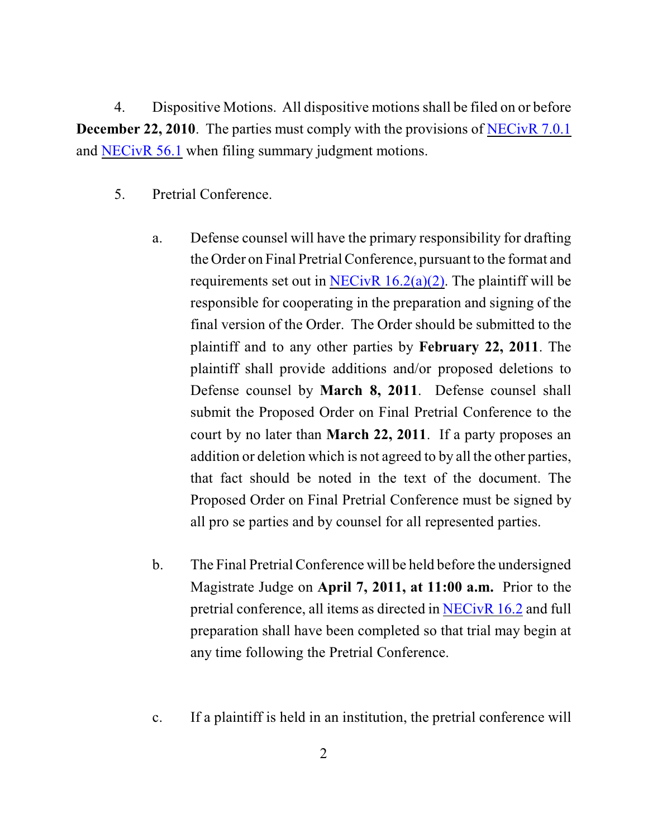4. Dispositive Motions. All dispositive motions shall be filed on or before **December 22, 2010**. The parties must comply with the provisions of [NECivR 7.0.1](http://www.ned.uscourts.gov/localrules/NECivR.20091030.pdf) and [NECivR 56.1](http://www.ned.uscourts.gov/localrules/NECivR.20091030.pdf) when filing summary judgment motions.

- 5. Pretrial Conference.
	- a. Defense counsel will have the primary responsibility for drafting the Order on Final PretrialConference, pursuant to the format and requirements set out in NECivR  $16.2(a)(2)$ . The plaintiff will be responsible for cooperating in the preparation and signing of the final version of the Order. The Order should be submitted to the plaintiff and to any other parties by **February 22, 2011**. The plaintiff shall provide additions and/or proposed deletions to Defense counsel by **March 8, 2011**. Defense counsel shall submit the Proposed Order on Final Pretrial Conference to the court by no later than **March 22, 2011**. If a party proposes an addition or deletion which is not agreed to by all the other parties, that fact should be noted in the text of the document. The Proposed Order on Final Pretrial Conference must be signed by all pro se parties and by counsel for all represented parties.
	- b. The Final Pretrial Conference will be held before the undersigned Magistrate Judge on **April 7, 2011, at 11:00 a.m.** Prior to the pretrial conference, all items as directed in [NECivR 16.2](http://www.ned.uscourts.gov/localrules/NECivR.20091030.pdf) and full preparation shall have been completed so that trial may begin at any time following the Pretrial Conference.
	- c. If a plaintiff is held in an institution, the pretrial conference will